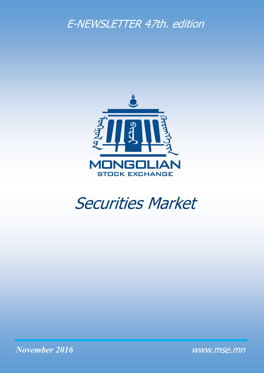# E-NEWSLETTER 47th. edition



# Securities Market

*November 2016*

www.mse.mn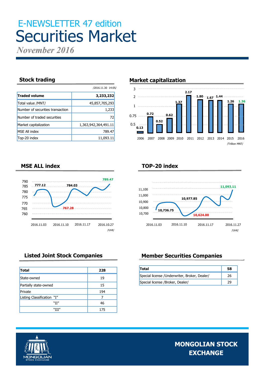# E-NEWSLETTER 47 edition Securities Market

*November 2016*

|                                  | /2016.11.30 14:05/   |
|----------------------------------|----------------------|
| <b>Traded volume</b>             | 3,233,232            |
| Total value /MNT/                | 45,857,705,293       |
| Number of securities transaction | 1,233                |
| Number of traded securities      | 72                   |
| Market capitalization            | 1,363,942,364,491.11 |
| <b>MSE All index</b>             | 789.47               |
| Top-20 index                     | 11,093.11            |

### **Stock trading Market capitalization**



### **TOP-20 index**



### **MSE ALL index**



| <b>Total</b>               | 228 |
|----------------------------|-----|
| State-owned                | 19  |
| Partially state-owned      | 15  |
| Private                    | 194 |
| Listing Classification "I" |     |
| "II"                       | 46  |
| "III"                      | 175 |

## **Listed Joint Stock Companies Member Securities Companies**

| <b>Total</b>                                   | 58 |
|------------------------------------------------|----|
| Special license / Underwriter, Broker, Dealer/ | 26 |
| Special license /Broker, Dealer/               |    |

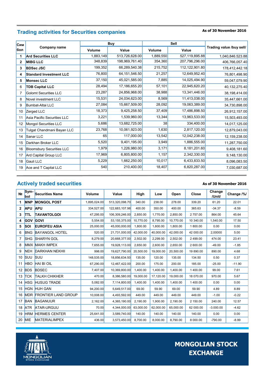# **As of 30 November 2016 Trading activities for Securities companies**

| Сим |                                  | <b>Buy</b> |                  |           | Sell           |                          |
|-----|----------------------------------|------------|------------------|-----------|----------------|--------------------------|
| бол | Company name                     | Volume     | Value            | Volume    | Value          | Trading value /buy sell/ |
|     | <b>Ard Securities LLC</b>        | 1,883,149  | 513,726,628.00   | 1,889,550 | 527,119,895.88 | 1,040,846.523.88         |
| 2   | <b>MIBG LLC</b>                  | 348,839    | 198,969,761.40   | 354,360   | 207,796,296.00 | 406,766,057.40           |
| 3   | <b>BDSec JSC</b>                 | 199,352    | 66,289,540.38    | 215,752   | 112,122,901.80 | 178,412,442.18           |
| 4   | <b>Standard Investment LLC</b>   | 76,800     | 64, 151, 546. 50 | 21,257    | 12,649,952.40  | 76,801,498.90            |
| 5   | <b>Monsec LLC</b>                | 37,150     | 45,021,585.00    | 7,885     | 14,025,494.90  | 59,047,079.90            |
| 6   | <b>TDB Capital LLC</b>           | 28,494     | 17,186,655.20    | 57,101    | 22,945,620.20  | 40,132,275.40            |
| 7   | <b>Golomt Securities LLC</b>     | 23,287     | 24,856,968.00    | 38,988    | 13,341,446.00  | 38,198,414.00            |
| 8   | Novel investment LLC             | 15,531     | 24,034,623.00    | 8,569     | 11,413,038.00  | 35,447,661.00            |
| 9   | Bumbat-Altai LLC                 | 27,084     | 15,667,509.00    | 28,092    | 19,063,389.00  | 34,730,898.00            |
| 10  | Zerged LLC                       | 18,373     | 9,425,258.50     | 37,409    | 17,486,898.50  | 26,912,157.00            |
| 11  | Asia Pacific Securities LLC      | 3,221      | 1,539,960.00     | 13,344    | 13,963,533.00  | 15,503,493.00            |
| 12  | <b>Mongol Securities LLC</b>     | 5,686      | 13,682,725.00    | 38        | 334,400.00     | 14,017,125.00            |
| 13  | Tulgat Chandmani Bayan LLC       | 23,768     | 10,061,923.00    | 1,630     | 2,817,120.00   | 12,879,043.00            |
| 14  | Sanar LLC                        | 65         | 117,000.00       | 13,542    | 12,042,238.00  | 12,159,238.00            |
| 15  | Darkhan Broker LLC               | 5,520      | 9,401,195.00     | 3,949     | 1,886,555.00   | 11,287,750.00            |
| 16  | <b>Bloomsbury Securities LLC</b> | 1,979      | 1,226,980.00     | 3,171     | 8,181,201.60   | 9,408,181.60             |
| 17  | Ard Capital Group LLC            | 17,969     | 6,805,800.00     | 1,157     | 2,342,330.00   | 9,148,130.00             |
| 18  | Gauli LLC                        | 5,229      | 1,662,250.00     | 10,017    | 6,433,833.50   | 8,096,083.50             |
| 19  | Ace and T Capital LLC            | 540        | 210,400.00       | 18,407    | 6,820,287.00   | 7,030,687.00             |

# **Actively traded securities**

#### **As of 30 November 2016**

| N <sub>2</sub> | Sym-<br><b>bol</b> | <b>Securities Name</b>         | Volume       | Value           | High      | Low       | Open      | <b>Close</b> | Change<br>/Unit/ | Change /%/ |
|----------------|--------------------|--------------------------------|--------------|-----------------|-----------|-----------|-----------|--------------|------------------|------------|
| 1              | <b>MNP</b>         | <b>MONGOL POST</b>             | 1,895,024.00 | 513,320,098.70  | 340.00    | 238.00    | 278.00    | 339.20       | 61.20            | 22.01      |
| 2              | <b>APU</b>         | <b>APU</b>                     | 334,527.00   | 122,683,107.98  | 400.00    | 350.00    | 400.00    | 365.63       | $-34.37$         | $-8.59$    |
| 3              | <b>ITTL</b>        | <b>TAVANTOLGOI</b>             | 47,295.00    | 106,309,246.00  | 2,850.00  | 1,770.00  | 2,850.00  | 2757.00      | 864.00           | 45.64      |
| 4              | <b>GOV</b>         | <b>GOVI</b>                    | 5,554.00     | 53, 155, 375.00 | 10.770.00 | 8,795.00  | 10.770.00 | 10 340.00    | 1,540.00         | 17.50      |
| 5              | <b>SOI</b>         | <b>EUROFEU ASIA</b>            | 25,000.00    | 45,000,000.00   | 1,800.00  | 1,800.00  | 1,800.00  | 1800.00      | 0.00             | 0.00       |
| 6              | <b>BNG</b>         | <b>BAYANGOL HOTEL</b>          | 520.00       | 21,731,000.00   | 42,000.00 | 40,000.00 | 42,000.00 | 42 000.00    | 2,00000          | 5.00       |
| 7              | <b>SHG</b>         | <b>SHARYN GOL</b>              | 8,279.00     | 20,668,377.00   | 2,502.00  | 2,299.00  | 2,502.00  | 2 499.00     | 474.00           | 23.41      |
| 8              |                    | <b>MMX MAKH IMPEX</b>          | 7.655.00     | 19,928,113.00   | 2.650.00  | 2.600.00  | 2,650.00  | 2 600.00     | $-49.00$         | $-1.85$    |
| 9              | <b>NEH</b>         | <b>DARKHAN NEKHII</b>          | 998.00       | 19,627,790.00   | 20,500.00 | 19,000.00 | 20,500.00 | 19 890.00    | 890.00           | 4.68       |
| 10             | <b>SUU</b>         | <b>SUU</b>                     | 148.535.00   | 18,856,634.50   | 135.00    | 120.00    | 135.00    | 134.50       | 0.50             | 0.37       |
| 11             | <b>HBO</b>         | <b>HAI BI OIL</b>              | 67.290.00    | 12,467,422.00   | 200.00    | 175.00    | 200.00    | 185.00       | $-25.00$         | $-11.90$   |
| 12             | <b>BDS</b>         | <b>BDSEC</b>                   | 7,407.00     | 10,369,800.00   | 1,400.00  | 1,400.00  | 1,400.00  | 1 400.00     | 99.00            | 7.61       |
| 13             | <b>TCK</b>         | <b>TALKH CHIKHER</b>           | 470.00       | 8,386,580.00    | 19.000.00 | 17,120.00 | 19,000.00 | 18 070.00    | 970.00           | 5.67       |
| 14             | <b>HSG</b>         | <b>HUSUG TRADE</b>             | 5,082.00     | 7,114,800.00    | 1,400.00  | 1,400.00  | 1,400.00  | 1 400.00     | 0.00             | 0.00       |
| 15             | <b>HGN</b>         | <b>HUH GAN</b>                 | 94.200.00    | 5,649,517.00    | 69.00     | 59.90     | 69.00     | 59.90        | 4.89             | 8.89       |
| 16             |                    | <b>MDR FRONTIER LAND GROUP</b> | 10,008.00    | 4,493,592.00    | 449.00    | 449.00    | 449.00    | 449.00       | $-1.00$          | $-0.22$    |
| 17             | <b>BAN</b>         | <b>BAGANUUR</b>                | 2,162.00     | 4,365,190.00    | 2,190.00  | 1.900.00  | 2,190.00  | 2 150.00     | 240.00           | 12.57      |
| 18             | <b>ATR</b>         | <b>ATAR-URGUU</b>              | 70.00        | 4,344,000.00    | 63.000.00 | 62,000.00 | 65,000.00 | 62 000.00    | $-3.000.00$      | $-4.62$    |
| 19             | <b>HRM</b>         | <b>HERMES CENTER</b>           | 25,641.00    | 3,589,740.00    | 140.00    | 140.00    | 140.00    | 140.00       | 0.00             | 0.00       |
| 20             | <b>MIE</b>         | <b>MATERIALIMPEX</b>           | 436.00       | 3,573,450.00    | 8,700.00  | 8,000.00  | 8,790.00  | 8 000.00     | $-790.00$        | $-8.99$    |

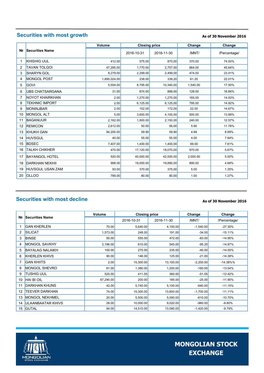# **Securities with most growth**

#### **As of 30 November 2016**

|                | <b>Securities Name</b>  | Volume       | <b>Closing price</b> |            | Change   | Change       |
|----------------|-------------------------|--------------|----------------------|------------|----------|--------------|
| N <sub>2</sub> |                         |              | 2016-10-31           | 2016-11-30 | /MNT/    | /Percentage/ |
| 1              | <b>KHISHIG UUL</b>      | 412.00       | 575.00               | 870.00     | 370.00   | 74.00%       |
| $\overline{2}$ | <b>TAVAN TOLGOI</b>     | 47.295.00    | 1.770.00             | 2,757,00   | 864.00   | 45.64%       |
| 3              | <b>SHARYN GOL</b>       | 8,279.00     | 2.299.00             | 2,499,00   | 474.00   | 23.41%       |
| 4              | <b>MONGOL POST</b>      | 1,895,024.00 | 238.00               | 339,20     | 61.20    | 22.01%       |
| 5              | <b>GOVI</b>             | 5,554.00     | 8,795.00             | 10,340,00  | 1,540.00 | 17.50%       |
| 6              | <b>UBS CHATSARGANA</b>  | 31.00        | 874.00               | 888,00     | 128.00   | 16.84%       |
| 7              | <b>NOYOT KHAIRKHAN</b>  | 2.00         | 1.270.00             | 1,270,00   | 165.00   | 14.93%       |
| 8              | <b>TEKHNIC IMPORT</b>   | 2.00         | 6,125.00             | 6,125,00   | 795.00   | 14.92%       |
| 9              | <b>MONINJBAR</b>        | 2.00         | 152.00               | 172,00     | 22.00    | 14.67%       |
| 10             | <b>MONGOL ALT</b>       | 5.00         | 3.600.00             | 4,100,00   | 500.00   | 13.89%       |
| 11             | <b>BAGANUUR</b>         | 2,162.00     | 1,900.00             | 2,150,00   | 240.00   | 12.57%       |
| 12             | <b>REMICON</b>          | 2,612.00     | 50.00                | 56.00      | 5.90     | 11.78%       |
| 13             | <b>KHUKH GAN</b>        | 94,200.00    | 59.90                | 59.90      | 4.89     | 8.89%        |
| 14             | <b>HUVSGUL</b>          | 40.00        | 55.00                | 55.00      | 4.00     | 7.84%        |
| 15             | <b>BDSEC</b>            | 7.407.00     | 1.400.00             | 1,400,00   | 99.00    | 7.61%        |
| 16             | <b>TALKH CHIKHER</b>    | 470.00       | 17,120.00            | 18,070,00  | 970.00   | 5.67%        |
| 17             | <b>BAYANGOL HOTEL</b>   | 520.00       | 40.000.00            | 42,000,00  | 2,000.00 | 5.00%        |
| 18             | <b>DARKHAN NEKHII</b>   | 998.00       | 19,000.00            | 19,890,00  | 890.00   | 4.68%        |
| 19             | <b>HUVSGUL USAN ZAM</b> | 93.00        | 370.00               | 375,00     | 5.00     | 1.35%        |
| 20             | <b>OLLOO</b>            | 789.00       | 80.00                | 80,00      | 1.00     | 1.27%        |

# **Securities with most decline**

#### **As of 30 November 2016**

|                | <b>Securities Name</b>   | Volume    | <b>Closing price</b> |            | Change      | Change       |
|----------------|--------------------------|-----------|----------------------|------------|-------------|--------------|
| N <sub>2</sub> |                          |           | 2016-10-31           | 2016-11-30 | /MNT/       | /Percentage/ |
|                | <b>GAN KHERLEN</b>       | 70.00     | 5,640.00             | 4,100.00   | $-1,540.00$ | $-27.30%$    |
| 2              | <b>SILICAT</b>           | 1,573.00  | 248.00               | 191.00     | $-34.00$    | $-15.11%$    |
| 3              | <b>BINSE</b>             | 50.00     | 555.00               | 472.00     | $-83.00$    | $-14.95%$    |
| 4              | <b>MONGOL SAVKHY</b>     | 2,196.00  | 610.00               | 545.00     | $-95.20$    | $-14.87%$    |
| 5              | <b>BAYALAG NALAIKH</b>   | 100.00    | 275.00               | 235.00     | $-40.00$    | $-14.55%$    |
| 6              | <b>KHERLEN KHIVS</b>     | 90.00     | 146.00               | 125.00     | $-21.00$    | $-14.38%$    |
| 7              | <b>GAN KHIITS</b>        | 2.00      | 15,300.00            | 13,100.00  | $-2,200.00$ | $-14.38\%$ % |
| 8              | <b>MONGOL SHEVRO</b>     | 61.00     | 1,380.00             | 1,200.00   | $-180.00$   | $-13.04%$    |
| 9              | TUSHIG UUL               | 520.00    | 411.05               | 360.00     | $-51.05$    | $-12.42%$    |
| 10             | <b>HAI BI OIL</b>        | 67,290.00 | 200.00               | 185.00     | $-25.00$    | $-11.90%$    |
| 11             | <b>DARKHAN KHUNS</b>     | 42.00     | 5,740.00             | 5,100.00   | $-640.00$   | $-11.15%$    |
| 12             | <b>TEEVER DARKHAN</b>    | 74.00     | 15,300.00            | 13,600.00  | $-1,700.00$ | $-11.11\%$   |
| 13             | <b>MONGOL NEKHMEL</b>    | 20.00     | 5,500.00             | 5,090.00   | $-610.00$   | $-10.70%$    |
| 14             | <b>ULAANBAATAR KHIVS</b> | 28.00     | 10,000.00            | 9,020.00   | $-980.00$   | $-9.80%$     |
| 15             | <b>GUTAL</b>             | 94.00     | 14,510.00            | 13,090.00  | $-1,420.00$ | $-9.79%$     |

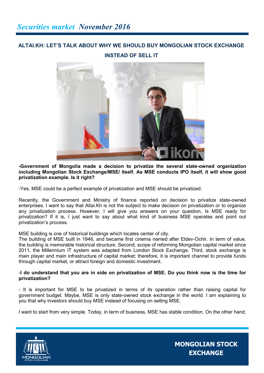# **ALTAI.KH: LET'S TALK ABOUT WHY WE SHOULD BUY MONGOLIAN STOCK EXCHANGE INSTEAD OF SELL IT**



**-Government of Mongolia made a decision to privatize the several state-owned organization including Mongolian Stock Exchange/MSE/ itself. As MSE conducts IPO itself, it will show good privatization example. Is it right?**

-Yes, MSE could be a perfect example of privatization and MSE should be privatized.

Recently, the Government and Ministry of finance reported on decision to privatize state-owned enterprises. I want to say that Altai.Kh is not the subject to make decision on privatization or to organize any privatization process. However, I will give you answers on your question, Is MSE ready for privatization? If it is, I just want to say about what kind of business MSE operates and point out privatization's process.

MSE building is one of historical buildings which locates center of city.

The building of MSE built in 1946, and became first cinema named after Eldev-Ochir. In term of value, the building is memorable historical structure. Second, scope of reforming Mongolian capital market since 2011, the Millennium IT system was adapted from London Stock Exchange. Third, stock exchange is main player and main infrastructure of capital market; therefore, it is important channel to provide funds through capital market, or attract foreign and domestic investment.

#### -**I do understand that you are in side on privatization of MSE. Do you think now is the time for privatization?**

- It is important for MSE to be privatized in terms of its operation rather than raising capital for government budget. Maybe, MSE is only state-owned stock exchange in the world. I am explaining to you that why investors should buy MSE instead of focusing on selling MSE.

I want to start from very simple. Today, in term of business, MSE has stable condition. On the other hand,

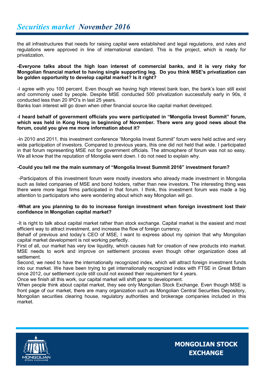the all infrastructures that needs for raising capital were established and legal regulations, and rules and regulations were approved in line of international standard. This is the project, which is ready for privatization.

#### **-Everyone talks about the high loan interest of commercial banks, and it is very risky for Mongolian financial market to having single supporting leg. Do you think MSE's privatization can be golden opportunity to develop capital market? Is it right?**

-I agree with you 100 percent. Even though we having high interest bank loan, the bank's loan still exist and commonly used by people. Despite MSE conducted 500 privatization successfully early in 90s, it conducted less than 20 IPO's in last 25 years.

Banks loan interest will go down when other financial source like capital market developed.

#### **-I heard behalf of government officials you were participated in "Mongolia Invest Summit" forum, which was held in Kong Hong in beginning of November. There were any good news about the forum, could you give me more information about it?**

-In 2010 and 2011, this investment conference "Mongolia Invest Summit" forum were held active and very wide participation of investors. Compared to previous years, this one did not held that wide. I participated in that forum representing MSE not for government officials. The atmosphere of forum was not so easy. We all know that the reputation of Mongolia went down. I do not need to explain why.

#### **-Could you tell me the main summary of "Mongolia Invest Summit 2016" investment forum?**

-Participators of this investment forum were mostly investors who already made investment in Mongolia such as listed companies of MSE and bond holders, rather than new investors. The interesting thing was there were more legal firms participated in that forum. I think, this investment forum was made a big attention to participators who were wondering about which way Mongolian will go.

#### **-What are you planning to do to increase foreign investment when foreign investment lost their confidence in Mongolian capital market?**

-It is right to talk about capital market rather than stock exchange. Capital market is the easiest and most efficient way to attract investment, and increase the flow of foreign currency.

Behalf of previous and today's CEO of MSE, I want to express about my opinion that why Mongolian capital market development is not working perfectly.

First of all, our market has very low liquidity, which causes halt for creation of new products into market. MSE needs to work and improve on settlement process even though other organization does all settlement.

Second, we need to have the internationally recognized index, which will attract foreign investment funds into our market. We have been trying to get internationally recognized index with FTSE in Great Britain since 2012, our settlement cycle still could not exceed their requirement for 4 years.

Once we finish all this work, our capital market will shift gear to development.

When people think about capital market, they see only Mongolian Stock Exchange. Even though MSE is front page of our market, there are many organization such as Mongolian Central Securities Depository, Mongolian securities clearing house, regulatory authorities and brokerage companies included in this market.